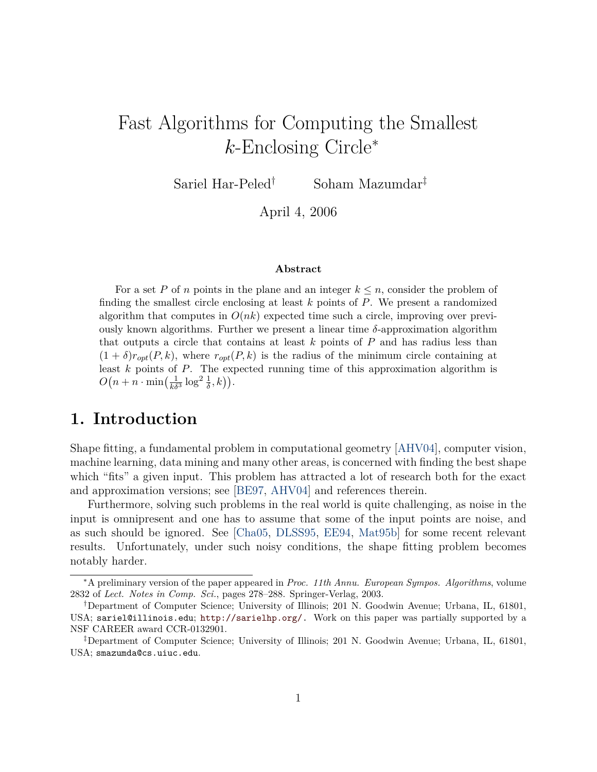# Fast Algorithms for Computing the Smallest k-Enclosing Circle<sup>∗</sup>

Sariel Har-Peled† Soham Mazumdar‡

April 4, 2006

#### **Abstract**

For a set P of n points in the plane and an integer  $k \leq n$ , consider the problem of finding the smallest circle enclosing at least  $k$  points of  $P$ . We present a randomized algorithm that computes in  $O(nk)$  expected time such a circle, improving over previously known algorithms. Further we present a linear time  $\delta$ -approximation algorithm that outputs a circle that contains at least  $k$  points of  $P$  and has radius less than  $(1 + \delta)r_{opt}(P, k)$ , where  $r_{opt}(P, k)$  is the radius of the minimum circle containing at least  $k$  points of  $P$ . The expected running time of this approximation algorithm is  $O(n + n \cdot \min\left(\frac{1}{k\delta^3} \log^2 \frac{1}{\delta}, k\right)).$ 

# **1. Introduction**

Shape fitting, a fundamental problem in computational geometry [\[AHV04\]](#page-10-0), computer vision, machine learning, data mining and many other areas, is concerned with finding the best shape which "fits" a given input. This problem has attracted a lot of research both for the exact and approximation versions; see [\[BE97,](#page-10-1) [AHV04\]](#page-10-0) and references therein.

Furthermore, solving such problems in the real world is quite challenging, as noise in the input is omnipresent and one has to assume that some of the input points are noise, and as such should be ignored. See [\[Cha05,](#page-10-2) [DLSS95,](#page-11-0) [EE94,](#page-11-1) [Mat95b\]](#page-11-2) for some recent relevant results. Unfortunately, under such noisy conditions, the shape fitting problem becomes notably harder.

<sup>∗</sup>A preliminary version of the paper appeared in *Proc. 11th Annu. European Sympos. Algorithms*, volume 2832 of *Lect. Notes in Comp. Sci.*, pages 278–288. Springer-Verlag, 2003.

<sup>†</sup>Department of Computer Science; University of Illinois; 201 N. Goodwin Avenue; Urbana, IL, 61801, USA; sariel@illinois.edu; [http://sarielhp.org/.](http://sarielhp.org/) Work on this paper was partially supported by a NSF CAREER award CCR-0132901.

<sup>‡</sup>Department of Computer Science; University of Illinois; 201 N. Goodwin Avenue; Urbana, IL, 61801, USA; smazumda@cs.uiuc.edu.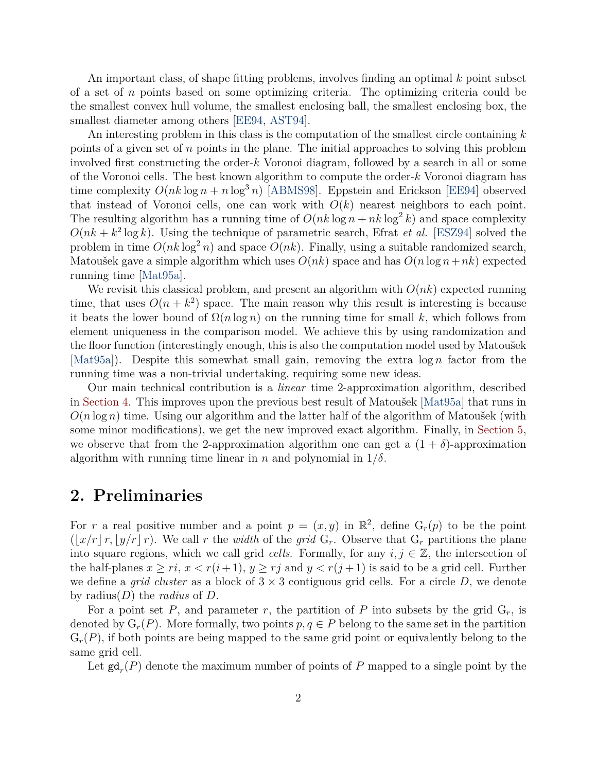An important class, of shape fitting problems, involves finding an optimal  $k$  point subset of a set of n points based on some optimizing criteria. The optimizing criteria could be the smallest convex hull volume, the smallest enclosing ball, the smallest enclosing box, the smallest diameter among others [\[EE94,](#page-11-1) [AST94\]](#page-10-3).

An interesting problem in this class is the computation of the smallest circle containing  $k$ points of a given set of n points in the plane. The initial approaches to solving this problem involved first constructing the order-k Voronoi diagram, followed by a search in all or some of the Voronoi cells. The best known algorithm to compute the order-k Voronoi diagram has time complexity  $O(nk \log n + n \log^3 n)$  [\[ABMS98\]](#page-10-4). Eppstein and Erickson [\[EE94\]](#page-11-1) observed that instead of Voronoi cells, one can work with  $O(k)$  nearest neighbors to each point. The resulting algorithm has a running time of  $O(nk \log n + nk \log^2 k)$  and space complexity  $O(nk + k^2 \log k)$ . Using the technique of parametric search, Efrat *et al.* [\[ESZ94\]](#page-11-3) solved the problem in time  $O(nk \log^2 n)$  and space  $O(nk)$ . Finally, using a suitable randomized search, Matoušek gave a simple algorithm which uses  $O(nk)$  space and has  $O(n \log n + nk)$  expected running time [\[Mat95a\]](#page-11-4).

We revisit this classical problem, and present an algorithm with  $O(nk)$  expected running time, that uses  $O(n + k^2)$  space. The main reason why this result is interesting is because it beats the lower bound of  $\Omega(n \log n)$  on the running time for small k, which follows from element uniqueness in the comparison model. We achieve this by using randomization and the floor function (interestingly enough, this is also the computation model used by Matoušek [\[Mat95a\]](#page-11-4)). Despite this somewhat small gain, removing the extra  $\log n$  factor from the running time was a non-trivial undertaking, requiring some new ideas.

Our main technical contribution is a *linear* time 2-approximation algorithm, described in [Section 4.](#page-5-0) This improves upon the previous best result of Matoušek [\[Mat95a\]](#page-11-4) that runs in  $O(n \log n)$  time. Using our algorithm and the latter half of the algorithm of Matoušek (with some minor modifications), we get the new improved exact algorithm. Finally, in [Section 5,](#page-9-0) we observe that from the 2-approximation algorithm one can get a  $(1 + \delta)$ -approximation algorithm with running time linear in n and polynomial in  $1/\delta$ .

### **2. Preliminaries**

For r a real positive number and a point  $p = (x, y)$  in  $\mathbb{R}^2$ , define  $G_r(p)$  to be the point  $(|x/r| r, |y/r| r)$ . We call r the *width* of the *grid* G<sub>r</sub>. Observe that G<sub>r</sub> partitions the plane into square regions, which we call grid *cells*. Formally, for any  $i, j \in \mathbb{Z}$ , the intersection of the half-planes  $x \geq ri$ ,  $x < r(i+1)$ ,  $y \geq rj$  and  $y < r(j+1)$  is said to be a grid cell. Further we define a *grid cluster* as a block of  $3 \times 3$  contiguous grid cells. For a circle D, we denote by radius(D) the *radius* of D.

For a point set P, and parameter r, the partition of P into subsets by the grid  $G_r$ , is denoted by  $G_r(P)$ . More formally, two points  $p, q \in P$  belong to the same set in the partition  $G_r(P)$ , if both points are being mapped to the same grid point or equivalently belong to the same grid cell.

Let  $\mathsf{gd}_r(P)$  denote the maximum number of points of P mapped to a single point by the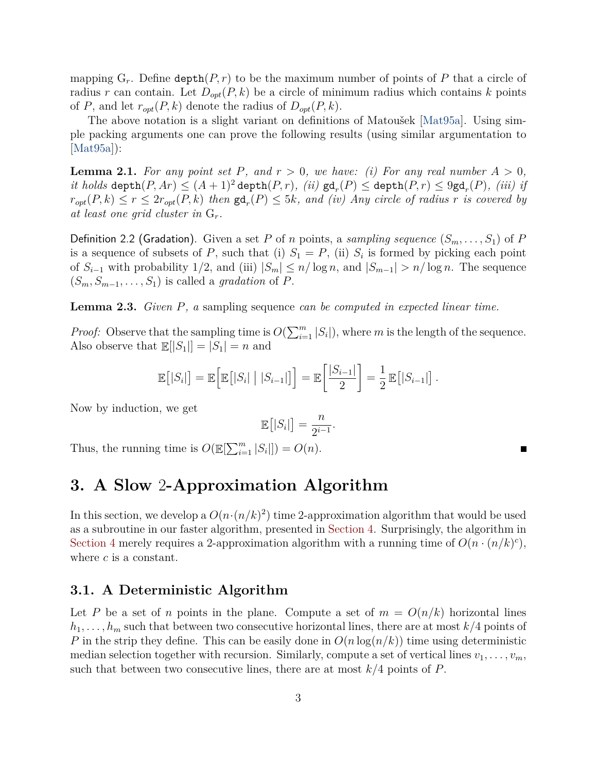mapping  $G_r$ . Define depth $(P, r)$  to be the maximum number of points of P that a circle of radius r can contain. Let  $D_{opt}(P, k)$  be a circle of minimum radius which contains k points of P, and let  $r_{opt}(P, k)$  denote the radius of  $D_{opt}(P, k)$ .

The above notation is a slight variant on definitions of Matoušek [\[Mat95a\]](#page-11-4). Using simple packing arguments one can prove the following results (using similar argumentation to  $|Mat95a|$ :

<span id="page-2-0"></span>**Lemma 2.1.** For any point set P, and  $r > 0$ , we have: (i) For any real number  $A > 0$ ,  $it$   $holds$  depth $(P, Ar) \leq (A + 1)^2$  depth $(P, r)$ *, (ii)*  $gd_r(P) \leq$  depth $(P, r) \leq 9$ gd<sub>r</sub> $(P)$ *, (iii)* if  $r_{opt}(P, k) \le r \le 2r_{opt}(P, k)$  then  $\mathsf{gd}_r(P) \le 5k$ , and *(iv)* Any circle of radius r is covered by *at least one grid cluster in* Gr*.*

<span id="page-2-1"></span>**Definition 2.2 (Gradation).** Given a set P of n points, a *sampling sequence*  $(S_m, \ldots, S_1)$  of P is a sequence of subsets of P, such that (i)  $S_1 = P$ , (ii)  $S_i$  is formed by picking each point of  $S_{i-1}$  with probability 1/2, and (iii)  $|S_m| \leq n/\log n$ , and  $|S_{m-1}| > n/\log n$ . The sequence  $(S_m, S_{m-1}, \ldots, S_1)$  is called a *gradation* of P.

<span id="page-2-2"></span>**Lemma 2.3.** *Given* P*, a* sampling sequence *can be computed in expected linear time.*

*Proof:* Observe that the sampling time is  $O(\sum_{i=1}^{m} |S_i|)$ , where m is the length of the sequence. Also observe that  $\mathbb{E}[|S_1|] = |S_1| = n$  and

$$
\mathbb{E}\big[|S_i|\big] = \mathbb{E}\Big[\mathbb{E}\big[|S_i|\mid |S_{i-1}|\big]\Big] = \mathbb{E}\bigg[\frac{|S_{i-1}|}{2}\bigg] = \frac{1}{2}\,\mathbb{E}\big[|S_{i-1}|\big]\,.
$$

Now by induction, we get

$$
\mathbb{E}\big[|S_i|\big] = \frac{n}{2^{i-1}}
$$

.

Thus, the running time is  $O(\mathbb{E}[\sum_{i=1}^{m} |S_i|]) = O(n)$ .

# **3. A Slow** 2**-Approximation Algorithm**

In this section, we develop a  $O(n \cdot (n/k)^2)$  time 2-approximation algorithm that would be used as a subroutine in our faster algorithm, presented in [Section 4.](#page-5-0) Surprisingly, the algorithm in [Section 4](#page-5-0) merely requires a 2-approximation algorithm with a running time of  $O(n \cdot (n/k)^c)$ , where  $c$  is a constant.

#### **3.1. A Deterministic Algorithm**

Let P be a set of n points in the plane. Compute a set of  $m = O(n/k)$  horizontal lines  $h_1, \ldots, h_m$  such that between two consecutive horizontal lines, there are at most  $k/4$  points of P in the strip they define. This can be easily done in  $O(n \log(n/k))$  time using deterministic median selection together with recursion. Similarly, compute a set of vertical lines  $v_1, \ldots, v_m$ , such that between two consecutive lines, there are at most  $k/4$  points of P.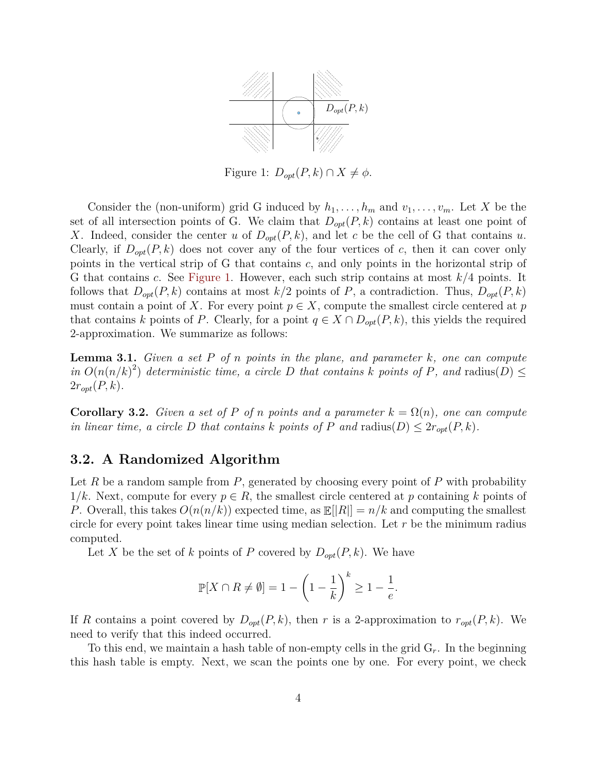

<span id="page-3-0"></span>Figure 1:  $D_{opt}(P, k) \cap X \neq \phi$ .

Consider the (non-uniform) grid G induced by  $h_1, \ldots, h_m$  and  $v_1, \ldots, v_m$ . Let X be the set of all intersection points of G. We claim that  $D_{opt}(P, k)$  contains at least one point of X. Indeed, consider the center u of  $D_{opt}(P, k)$ , and let c be the cell of G that contains u. Clearly, if  $D_{opt}(P, k)$  does not cover any of the four vertices of c, then it can cover only points in the vertical strip of G that contains c, and only points in the horizontal strip of G that contains c. See [Figure 1.](#page-3-0) However, each such strip contains at most  $k/4$  points. It follows that  $D_{opt}(P, k)$  contains at most  $k/2$  points of P, a contradiction. Thus,  $D_{opt}(P, k)$ must contain a point of X. For every point  $p \in X$ , compute the smallest circle centered at p that contains k points of P. Clearly, for a point  $q \in X \cap D_{opt}(P, k)$ , this yields the required 2-approximation. We summarize as follows:

<span id="page-3-2"></span>**Lemma 3.1.** *Given a set* P *of* n *points in the plane, and parameter* k*, one can compute* in  $O(n(n/k)^2)$  deterministic time, a circle D that contains k points of P, and radius(D)  $\leq$  $2r_{opt}(P, k)$ .

<span id="page-3-1"></span>**Corollary 3.2.** *Given a set of* P *of* n points and a parameter  $k = \Omega(n)$ , one can compute *in linear time, a circle* D *that contains* k points of P and  $\text{radius}(D) \leq 2r_{opt}(P, k)$ .

#### **3.2. A Randomized Algorithm**

Let R be a random sample from  $P$ , generated by choosing every point of P with probability  $1/k$ . Next, compute for every  $p \in R$ , the smallest circle centered at p containing k points of P. Overall, this takes  $O(n(n/k))$  expected time, as  $\mathbb{E}||R|| = n/k$  and computing the smallest circle for every point takes linear time using median selection. Let  $r$  be the minimum radius computed.

Let X be the set of k points of P covered by  $D_{opt}(P, k)$ . We have

$$
\mathbb{P}[X \cap R \neq \emptyset] = 1 - \left(1 - \frac{1}{k}\right)^k \ge 1 - \frac{1}{e}.
$$

If R contains a point covered by  $D_{opt}(P, k)$ , then r is a 2-approximation to  $r_{opt}(P, k)$ . We need to verify that this indeed occurred.

To this end, we maintain a hash table of non-empty cells in the grid  $G_r$ . In the beginning this hash table is empty. Next, we scan the points one by one. For every point, we check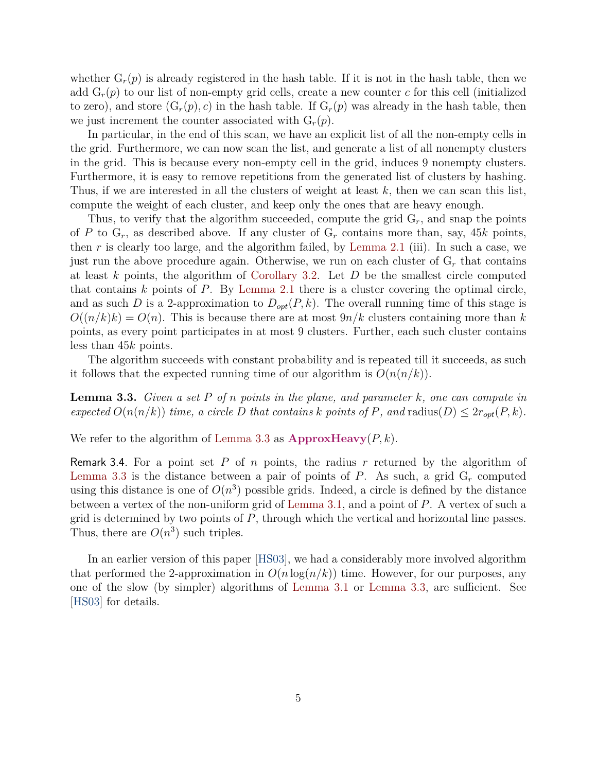whether  $G_r(p)$  is already registered in the hash table. If it is not in the hash table, then we add  $G_r(p)$  to our list of non-empty grid cells, create a new counter c for this cell (initialized to zero), and store  $(G_r(p), c)$  in the hash table. If  $G_r(p)$  was already in the hash table, then we just increment the counter associated with  $G_r(p)$ .

In particular, in the end of this scan, we have an explicit list of all the non-empty cells in the grid. Furthermore, we can now scan the list, and generate a list of all nonempty clusters in the grid. This is because every non-empty cell in the grid, induces 9 nonempty clusters. Furthermore, it is easy to remove repetitions from the generated list of clusters by hashing. Thus, if we are interested in all the clusters of weight at least  $k$ , then we can scan this list, compute the weight of each cluster, and keep only the ones that are heavy enough.

Thus, to verify that the algorithm succeeded, compute the grid  $G_r$ , and snap the points of P to  $G_r$ , as described above. If any cluster of  $G_r$  contains more than, say, 45k points, then  $r$  is clearly too large, and the algorithm failed, by [Lemma 2.1](#page-2-0) (iii). In such a case, we just run the above procedure again. Otherwise, we run on each cluster of  $G_r$  that contains at least k points, the algorithm of [Corollary 3.2.](#page-3-1) Let  $D$  be the smallest circle computed that contains  $k$  points of  $P$ . By [Lemma 2.1](#page-2-0) there is a cluster covering the optimal circle, and as such D is a 2-approximation to  $D_{opt}(P, k)$ . The overall running time of this stage is  $O((n/k)k) = O(n)$ . This is because there are at most  $9n/k$  clusters containing more than k points, as every point participates in at most 9 clusters. Further, each such cluster contains less than 45k points.

The algorithm succeeds with constant probability and is repeated till it succeeds, as such it follows that the expected running time of our algorithm is  $O(n(n/k))$ .

<span id="page-4-0"></span>**Lemma 3.3.** *Given a set* P *of* n *points in the plane, and parameter* k*, one can compute in expected*  $O(n(n/k))$  *time, a circle* D *that contains* k points of P, and radius(D)  $\leq 2r_{opt}(P, k)$ .

<span id="page-4-1"></span>We refer to the algorithm of [Lemma 3.3](#page-4-0) as  $\text{ApproxHeavy}(P, k)$ .

Remark 3.4. For a point set P of n points, the radius r returned by the algorithm of [Lemma 3.3](#page-4-0) is the distance between a pair of points of  $P$ . As such, a grid  $G_r$  computed using this distance is one of  $O(n^3)$  possible grids. Indeed, a circle is defined by the distance between a vertex of the non-uniform grid of [Lemma 3.1,](#page-3-2) and a point of P. A vertex of such a grid is determined by two points of  $P$ , through which the vertical and horizontal line passes. Thus, there are  $O(n^3)$  such triples.

In an earlier version of this paper [\[HS03\]](#page-11-5), we had a considerably more involved algorithm that performed the 2-approximation in  $O(n \log(n/k))$  time. However, for our purposes, any one of the slow (by simpler) algorithms of [Lemma 3.1](#page-3-2) or [Lemma 3.3,](#page-4-0) are sufficient. See [\[HS03\]](#page-11-5) for details.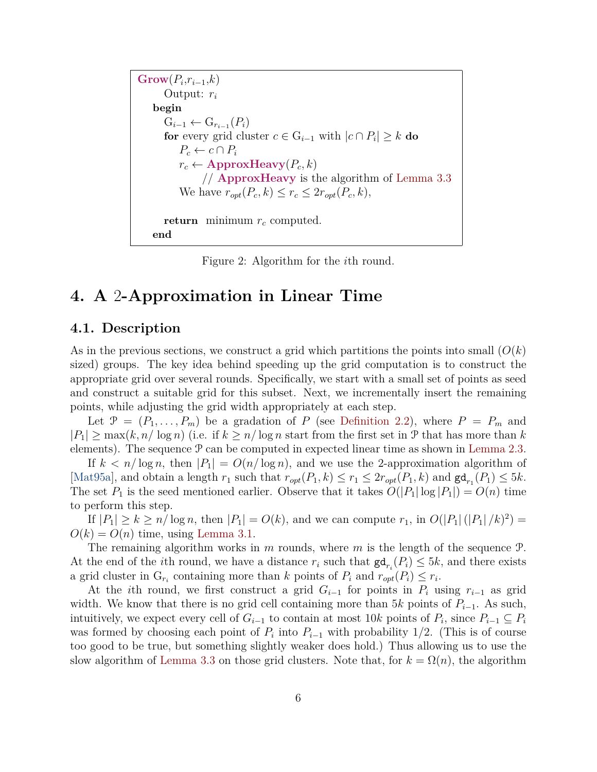$\mathrm{Grow}(P_i,r_{i-1},k)$ Output:  $r_i$ **begin**  $G_{i-1} \leftarrow G_{r_{i-1}}(P_i)$ **for** every grid cluster  $c \in G_{i-1}$  with  $|c \cap P_i| \geq k$  **do**  $P_c \leftarrow c \cap P_i$  $r_c \leftarrow$  **ApproxHeavy** $(P_c, k)$ // **ApproxHeavy** is the algorithm of [Lemma 3.3](#page-4-0) We have  $r_{opt}(P_c, k) \leq r_c \leq 2r_{opt}(P_c, k),$ **return** minimum  $r_c$  computed. **end**

<span id="page-5-1"></span>Figure 2: Algorithm for the ith round.

# <span id="page-5-0"></span>**4. A** 2**-Approximation in Linear Time**

#### **4.1. Description**

As in the previous sections, we construct a grid which partitions the points into small  $(O(k))$ sized) groups. The key idea behind speeding up the grid computation is to construct the appropriate grid over several rounds. Specifically, we start with a small set of points as seed and construct a suitable grid for this subset. Next, we incrementally insert the remaining points, while adjusting the grid width appropriately at each step.

Let  $\mathcal{P} = (P_1, \ldots, P_m)$  be a gradation of P (see [Definition 2.2\)](#page-2-1), where  $P = P_m$  and  $|P_1| \geq \max(k, n/\log n)$  (i.e. if  $k \geq n/\log n$  start from the first set in P that has more than k elements). The sequence  $\mathcal P$  can be computed in expected linear time as shown in [Lemma 2.3.](#page-2-2)

If  $k < n/\log n$ , then  $|P_1| = O(n/\log n)$ , and we use the 2-approximation algorithm of [\[Mat95a\]](#page-11-4), and obtain a length  $r_1$  such that  $r_{opt}(P_1, k) \le r_1 \le 2r_{opt}(P_1, k)$  and  $\mathsf{gd}_{r_1}(P_1) \le 5k$ . The set  $P_1$  is the seed mentioned earlier. Observe that it takes  $O(|P_1| \log |P_1|) = O(n)$  time to perform this step.

If  $|P_1| \ge k \ge n/\log n$ , then  $|P_1| = O(k)$ , and we can compute  $r_1$ , in  $O(|P_1|(|P_1|/k)^2) =$  $O(k) = O(n)$  time, using [Lemma 3.1.](#page-3-2)

The remaining algorithm works in m rounds, where m is the length of the sequence  $\mathcal{P}$ . At the end of the *i*th round, we have a distance  $r_i$  such that  $\mathsf{gd}_{r_i}(P_i) \leq 5k$ , and there exists a grid cluster in  $G_{r_i}$  containing more than k points of  $P_i$  and  $r_{opt}(P_i) \leq r_i$ .

At the *i*th round, we first construct a grid  $G_{i-1}$  for points in  $P_i$  using  $r_{i-1}$  as grid width. We know that there is no grid cell containing more than 5k points of  $P_{i-1}$ . As such, intuitively, we expect every cell of  $G_{i-1}$  to contain at most 10k points of  $P_i$ , since  $P_{i-1} \subseteq P_i$ was formed by choosing each point of  $P_i$  into  $P_{i-1}$  with probability 1/2. (This is of course too good to be true, but something slightly weaker does hold.) Thus allowing us to use the slow algorithm of [Lemma 3.3](#page-4-0) on those grid clusters. Note that, for  $k = \Omega(n)$ , the algorithm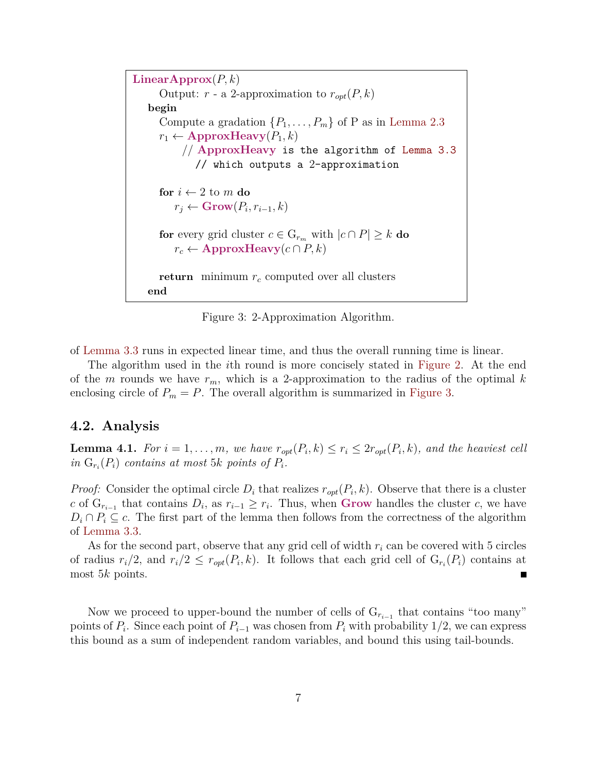$LinearApprox(P, k)$ Output:  $r$  - a 2-approximation to  $r_{opt}(P, k)$ **begin** Compute a gradation  $\{P_1, \ldots, P_m\}$  of P as in [Lemma 2.3](#page-2-2)  $r_1 \leftarrow$  **ApproxHeavy** $(P_1, k)$ // **ApproxHeavy** is the algorithm of [Lemma 3.3](#page-4-0) // which outputs a 2-approximation **for**  $i \leftarrow 2$  to  $m$  **do**  $r_j \leftarrow \textbf{Grow}(P_i, r_{i-1}, k)$ **for** every grid cluster  $c \in G_{r_m}$  with  $|c \cap P| \geq k$  **do**  $r_c \leftarrow$  **ApproxHeavy** $(c \cap P, k)$ **return** minimum  $r_c$  computed over all clusters **end**

<span id="page-6-0"></span>Figure 3: 2-Approximation Algorithm.

of [Lemma 3.3](#page-4-0) runs in expected linear time, and thus the overall running time is linear.

The algorithm used in the ith round is more concisely stated in [Figure 2.](#page-5-1) At the end of the m rounds we have  $r_m$ , which is a 2-approximation to the radius of the optimal k enclosing circle of  $P_m = P$ . The overall algorithm is summarized in [Figure 3.](#page-6-0)

#### **4.2. Analysis**

**Lemma 4.1.** *For*  $i = 1, ..., m$ , we have  $r_{opt}(P_i, k) \leq r_i \leq 2r_{opt}(P_i, k)$ , and the heaviest cell  $in G_{r_i}(P_i)$  *contains at most* 5k *points of*  $P_i$ *.* 

*Proof:* Consider the optimal circle  $D_i$  that realizes  $r_{opt}(P_i, k)$ . Observe that there is a cluster c of  $G_{r_{i-1}}$  that contains  $D_i$ , as  $r_{i-1} \geq r_i$ . Thus, when **Grow** handles the cluster c, we have  $D_i \cap P_i \subseteq c$ . The first part of the lemma then follows from the correctness of the algorithm of [Lemma 3.3.](#page-4-0)

As for the second part, observe that any grid cell of width  $r_i$  can be covered with 5 circles of radius  $r_i/2$ , and  $r_i/2 \leq r_{opt}(P_i, k)$ . It follows that each grid cell of  $G_{r_i}(P_i)$  contains at most 5k points. П

Now we proceed to upper-bound the number of cells of  $G_{r_{i-1}}$  that contains "too many" points of  $P_i$ . Since each point of  $P_{i-1}$  was chosen from  $P_i$  with probability 1/2, we can express this bound as a sum of independent random variables, and bound this using tail-bounds.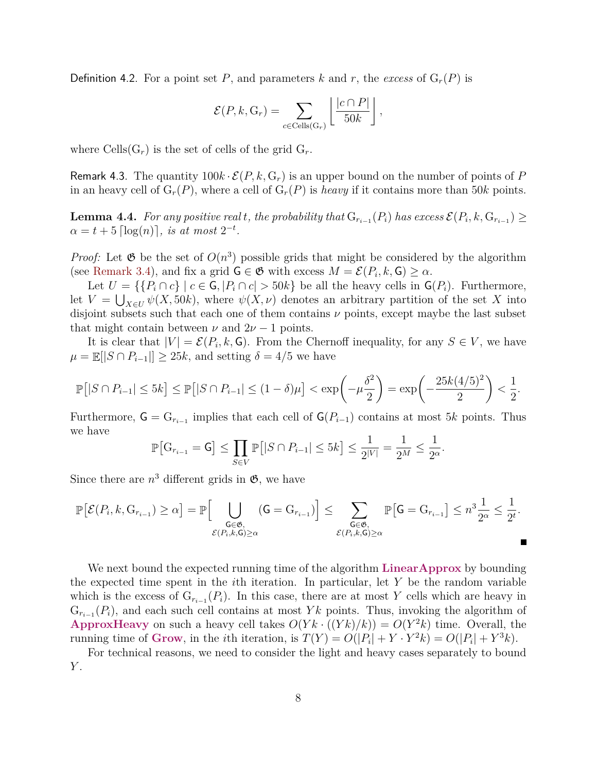**Definition 4.2.** For a point set P, and parameters k and r, the excess of  $G_r(P)$  is

$$
\mathcal{E}(P, k, \mathbf{G}_r) = \sum_{c \in \text{Cells}(\mathbf{G}_r)} \left[ \frac{|c \cap P|}{50k} \right],
$$

where  $\text{Cells}(G_r)$  is the set of cells of the grid  $G_r$ .

Remark 4.3. The quantity  $100k \cdot \mathcal{E}(P, k, G_r)$  is an upper bound on the number of points of P in an heavy cell of  $G_r(P)$ , where a cell of  $G_r(P)$  is *heavy* if it contains more than 50k points.

<span id="page-7-0"></span>**Lemma 4.4.** *For any positive real t, the probability that*  $G_{r_{i-1}}(P_i)$  *has excess*  $\mathcal{E}(P_i, k, G_{r_{i-1}}) \ge$  $\alpha = t + 5 \lfloor \log(n) \rfloor$ *, is at most*  $2^{-t}$ *.* 

*Proof:* Let  $\mathfrak{G}$  be the set of  $O(n^3)$  possible grids that might be considered by the algorithm (see [Remark 3.4\)](#page-4-1), and fix a grid  $\mathsf{G} \in \mathfrak{G}$  with excess  $M = \mathcal{E}(P_i, k, \mathsf{G}) \ge \alpha$ .

Let  $U = \{ \{P_i \cap c\} \mid c \in \mathsf{G}, |P_i \cap c| > 50k \}$  be all the heavy cells in  $\mathsf{G}(P_i)$ . Furthermore, let  $V = \bigcup_{X \in U} \psi(X, 50k)$ , where  $\psi(X, \nu)$  denotes an arbitrary partition of the set X into disjoint subsets such that each one of them contains  $\nu$  points, except maybe the last subset that might contain between  $\nu$  and  $2\nu - 1$  points.

It is clear that  $|V| = \mathcal{E}(P_i, k, \mathsf{G})$ . From the Chernoff inequality, for any  $S \in V$ , we have  $\mu = \mathbb{E}[|S \cap P_{i-1}|] \geq 25k$ , and setting  $\delta = 4/5$  we have

$$
\mathbb{P}[|S \cap P_{i-1}| \le 5k] \le \mathbb{P}[|S \cap P_{i-1}| \le (1-\delta)\mu] < \exp\left(-\mu\frac{\delta^2}{2}\right) = \exp\left(-\frac{25k(4/5)^2}{2}\right) < \frac{1}{2}.
$$

Furthermore,  $\mathsf{G} = \mathsf{G}_{r_{i-1}}$  implies that each cell of  $\mathsf{G}(P_{i-1})$  contains at most 5k points. Thus we have

$$
\mathbb{P}\big[\mathcal{G}_{r_{i-1}} = \mathcal{G}\big] \le \prod_{S \in V} \mathbb{P}\big[|S \cap P_{i-1}| \le 5k\big] \le \frac{1}{2^{|V|}} = \frac{1}{2^M} \le \frac{1}{2^{\alpha}}.
$$

Since there are  $n^3$  different grids in  $\mathfrak{G}$ , we have

$$
\mathbb{P}\big[\mathcal{E}(P_i, k, \mathbf{G}_{r_{i-1}}) \geq \alpha\big] = \mathbb{P}\Big[\bigcup_{\substack{\mathsf{G}\in \mathfrak{G},\\ \mathcal{E}(P_i, k, \mathsf{G})\geq \alpha}} (\mathsf{G} = \mathbf{G}_{r_{i-1}})\Big] \leq \sum_{\substack{\mathsf{G}\in \mathfrak{G},\\ \mathcal{E}(P_i, k, \mathsf{G})\geq \alpha}} \mathbb{P}\big[\mathsf{G} = \mathbf{G}_{r_{i-1}}\big] \leq n^3 \frac{1}{2^\alpha} \leq \frac{1}{2^t}.
$$

We next bound the expected running time of the algorithm **LinearApprox** by bounding the expected time spent in the *i*th iteration. In particular, let  $Y$  be the random variable which is the excess of  $G_{r_{i-1}}(P_i)$ . In this case, there are at most Y cells which are heavy in  $G_{r_{i-1}}(P_i)$ , and each such cell contains at most Yk points. Thus, invoking the algorithm of **ApproxHeavy** on such a heavy cell takes  $O(Yk \cdot ((Yk)/k)) = O(Y^2k)$  time. Overall, the running time of Grow, in the *i*th iteration, is  $T(Y) = O(|P_i| + Y \cdot Y^2 k) = O(|P_i| + Y^3 k)$ .

For technical reasons, we need to consider the light and heavy cases separately to bound  $Y$ .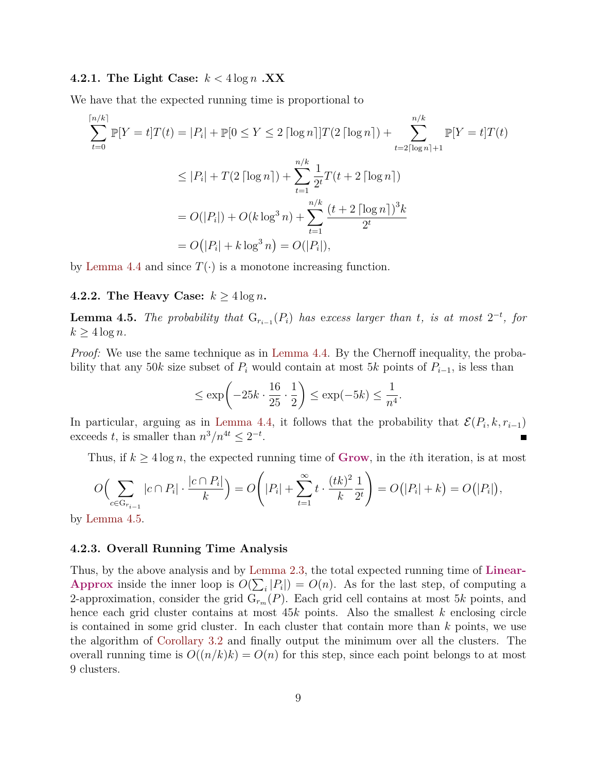#### **4.2.1.** The Light Case:  $k < 4 \log n$  **.XX**

We have that the expected running time is proportional to

$$
\sum_{t=0}^{\lceil n/k \rceil} \mathbb{P}[Y = t]T(t) = |P_i| + \mathbb{P}[0 \le Y \le 2 \lceil \log n \rceil]T(2 \lceil \log n \rceil) + \sum_{t=2\lceil \log n \rceil + 1}^{n/k} \mathbb{P}[Y = t]T(t)
$$
  

$$
\le |P_i| + T(2 \lceil \log n \rceil) + \sum_{t=1}^{n/k} \frac{1}{2^t} T(t + 2 \lceil \log n \rceil)
$$
  

$$
= O(|P_i|) + O(k \log^3 n) + \sum_{t=1}^{n/k} \frac{(t + 2 \lceil \log n \rceil)^3 k}{2^t}
$$
  

$$
= O(|P_i| + k \log^3 n) = O(|P_i|),
$$

by [Lemma 4.4](#page-7-0) and since  $T(\cdot)$  is a monotone increasing function.

#### **4.2.2.** The Heavy Case:  $k \geq 4 \log n$ .

<span id="page-8-0"></span>**Lemma 4.5.** *The probability that*  $G_{r_{i-1}}(P_i)$  *has excess larger than t, is at most*  $2^{-t}$ *, for*  $k \geq 4 \log n$ .

*Proof:* We use the same technique as in [Lemma 4.4.](#page-7-0) By the Chernoff inequality, the probability that any 50k size subset of  $P_i$  would contain at most 5k points of  $P_{i-1}$ , is less than

$$
\leq \exp\left(-25k \cdot \frac{16}{25} \cdot \frac{1}{2}\right) \leq \exp(-5k) \leq \frac{1}{n^4}.
$$

In particular, arguing as in [Lemma 4.4,](#page-7-0) it follows that the probability that  $\mathcal{E}(P_i, k, r_{i-1})$ exceeds t, is smaller than  $n^3/n^{4t} \leq 2^{-t}$ .

Thus, if  $k \geq 4 \log n$ , the expected running time of **Grow**, in the *i*th iteration, is at most

$$
O\Big(\sum_{c \in \mathcal{G}_{r_{i-1}}} |c \cap P_i| \cdot \frac{|c \cap P_i|}{k}\Big) = O\Big(|P_i| + \sum_{t=1}^{\infty} t \cdot \frac{(tk)^2}{k} \frac{1}{2^t}\Big) = O\big(|P_i| + k\big) = O\big(|P_i|\big),
$$

by [Lemma 4.5.](#page-8-0)

#### **4.2.3. Overall Running Time Analysis**

<span id="page-8-1"></span>Thus, by the above analysis and by [Lemma 2.3,](#page-2-2) the total expected running time of **Linear-Approx** inside the inner loop is  $O(\sum_i |P_i|) = O(n)$ . As for the last step, of computing a 2-approximation, consider the grid  $G_{r_m}(P)$ . Each grid cell contains at most 5k points, and hence each grid cluster contains at most  $45k$  points. Also the smallest k enclosing circle is contained in some grid cluster. In each cluster that contain more than  $k$  points, we use the algorithm of [Corollary 3.2](#page-3-1) and finally output the minimum over all the clusters. The overall running time is  $O((n/k)k) = O(n)$  for this step, since each point belongs to at most 9 clusters.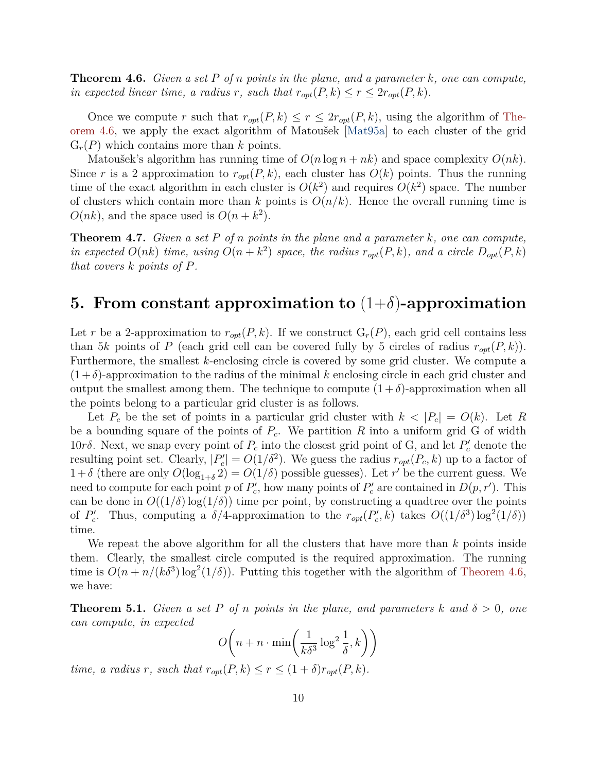**Theorem 4.6.** *Given a set* P *of* n *points in the plane, and a parameter* k*, one can compute, in expected linear time, a radius* r, such that  $r_{opt}(P, k) \leq r \leq 2r_{opt}(P, k)$ .

Once we compute r such that  $r_{opt}(P, k) \le r \le 2r_{opt}(P, k)$ , using the algorithm of [The](#page-8-1)[orem 4.6,](#page-8-1) we apply the exact algorithm of Matoušek [\[Mat95a\]](#page-11-4) to each cluster of the grid  $G_r(P)$  which contains more than k points.

Matoušek's algorithm has running time of  $O(n \log n + nk)$  and space complexity  $O(nk)$ . Since r is a 2 approximation to  $r_{opt}(P, k)$ , each cluster has  $O(k)$  points. Thus the running time of the exact algorithm in each cluster is  $O(k^2)$  and requires  $O(k^2)$  space. The number of clusters which contain more than k points is  $O(n/k)$ . Hence the overall running time is  $O(nk)$ , and the space used is  $O(n+k^2)$ .

**Theorem 4.7.** *Given a set* P *of* n *points in the plane and a parameter* k*, one can compute, in expected*  $O(nk)$  *time, using*  $O(n+k^2)$  *space, the radius*  $r_{opt}(P, k)$ *, and a circle*  $D_{opt}(P, k)$ *that covers* k *points of* P*.*

### <span id="page-9-0"></span>**5.** From constant approximation to  $(1+\delta)$ -approximation

Let r be a 2-approximation to  $r_{\text{out}}(P, k)$ . If we construct  $G_r(P)$ , each grid cell contains less than 5k points of P (each grid cell can be covered fully by 5 circles of radius  $r_{opt}(P, k)$ ). Furthermore, the smallest k-enclosing circle is covered by some grid cluster. We compute a  $(1+\delta)$ -approximation to the radius of the minimal k enclosing circle in each grid cluster and output the smallest among them. The technique to compute  $(1 + \delta)$ -approximation when all the points belong to a particular grid cluster is as follows.

Let  $P_c$  be the set of points in a particular grid cluster with  $k < |P_c| = O(k)$ . Let R be a bounding square of the points of  $P_c$ . We partition R into a uniform grid G of width 10rδ. Next, we snap every point of  $P_c$  into the closest grid point of G, and let  $P'_c$  denote the resulting point set. Clearly,  $|P'_c| = O(1/\delta^2)$ . We guess the radius  $r_{opt}(P_c, k)$  up to a factor of  $1+\delta$  (there are only  $O(\log_{1+\delta} 2) = O(1/\delta)$  possible guesses). Let r' be the current guess. We need to compute for each point p of  $P'_c$ , how many points of  $P'_c$  are contained in  $D(p, r')$ . This can be done in  $O((1/\delta) \log(1/\delta))$  time per point, by constructing a quadtree over the points of  $P_c'$ . Thus, computing a  $\delta/4$ -approximation to the  $r_{opt}(P_c', k)$  takes  $O((1/\delta^3) \log^2(1/\delta))$ time.

We repeat the above algorithm for all the clusters that have more than  $k$  points inside them. Clearly, the smallest circle computed is the required approximation. The running time is  $O(n + n/(k\delta^3) \log^2(1/\delta))$ . Putting this together with the algorithm of [Theorem 4.6,](#page-8-1) we have:

**Theorem 5.1.** *Given a set* P *of* n points in the plane, and parameters k and  $\delta > 0$ , one *can compute, in expected*

$$
O\left(n + n \cdot \min\left(\frac{1}{k\delta^3} \log^2 \frac{1}{\delta}, k\right)\right)
$$

*time, a radius r, such that*  $r_{opt}(P, k) \leq r \leq (1 + \delta)r_{opt}(P, k)$ .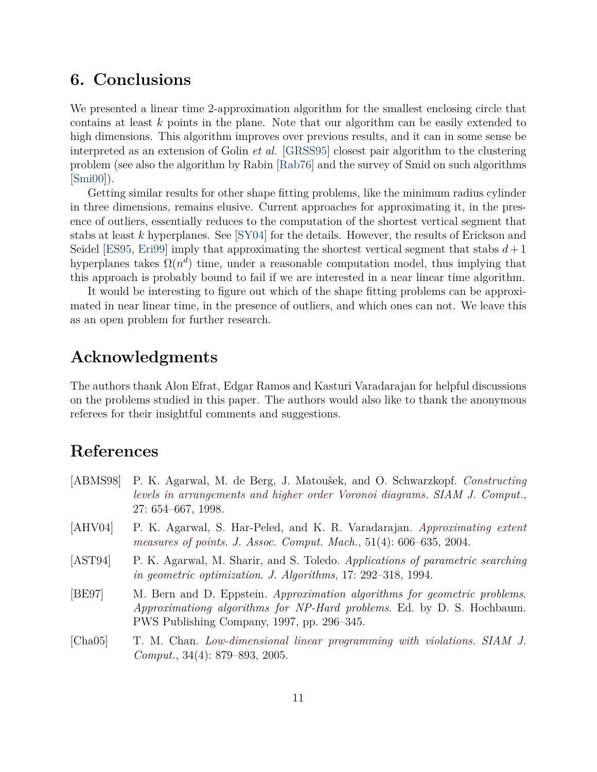# **6. Conclusions**

We presented a linear time 2-approximation algorithm for the smallest enclosing circle that contains at least k points in the plane. Note that our algorithm can be easily extended to high dimensions. This algorithm improves over previous results, and it can in some sense be interpreted as an extension of Golin *et al.* [\[GRSS95\]](#page-11-6) closest pair algorithm to the clustering problem (see also the algorithm by Rabin [\[Rab76\]](#page-11-7) and the survey of Smid on such algorithms  $|\text{Smi00}|$ ).

Getting similar results for other shape fitting problems, like the minimum radius cylinder in three dimensions, remains elusive. Current approaches for approximating it, in the presence of outliers, essentially reduces to the computation of the shortest vertical segment that stabs at least k hyperplanes. See [\[SY04\]](#page-11-9) for the details. However, the results of Erickson and Seidel [\[ES95,](#page-11-10) [Eri99\]](#page-11-11) imply that approximating the shortest vertical segment that stabs  $d+1$ hyperplanes takes  $\Omega(n^d)$  time, under a reasonable computation model, thus implying that this approach is probably bound to fail if we are interested in a near linear time algorithm.

It would be interesting to figure out which of the shape fitting problems can be approximated in near linear time, in the presence of outliers, and which ones can not. We leave this as an open problem for further research.

# **Acknowledgments**

The authors thank Alon Efrat, Edgar Ramos and Kasturi Varadarajan for helpful discussions on the problems studied in this paper. The authors would also like to thank the anonymous referees for their insightful comments and suggestions.

# **References**

- <span id="page-10-4"></span>[ABMS98] P. K. Agarwal, M. de Berg, J. Matoušek, and O. Schwarzkopf. *[Constructing](http://epubs.siam.org/sam-bin/dbq/article/28184) [levels in arrangements and higher order Voronoi diagrams](http://epubs.siam.org/sam-bin/dbq/article/28184)*. *SIAM J. Comput.*, 27: 654–667, 1998.
- <span id="page-10-0"></span>[AHV04] P. K. Agarwal, S. Har-Peled, and K. R. Varadarajan. *[Approximating extent](http://dx.doi.org/10.1145/1008731.1008736) [measures of points](http://dx.doi.org/10.1145/1008731.1008736)*. *J. Assoc. Comput. Mach.*, 51(4): 606–635, 2004.
- <span id="page-10-3"></span>[AST94] P. K. Agarwal, M. Sharir, and S. Toledo. *Applications of parametric searching in geometric optimization*. *J. Algorithms*, 17: 292–318, 1994.
- <span id="page-10-1"></span>[BE97] M. Bern and D. Eppstein. *Approximation algorithms for geometric problems*. *Approximationg algorithms for NP-Hard problems*. Ed. by D. S. Hochbaum. PWS Publishing Company, 1997, pp. 296–345.
- <span id="page-10-2"></span>[Cha05] T. M. Chan. *[Low-dimensional linear programming with violations](http://dx.doi.org/10.1137/S0097539703439404)*. *SIAM J. Comput.*, 34(4): 879–893, 2005.